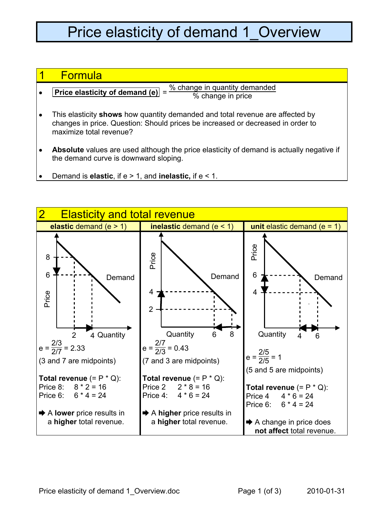## Price elasticity of demand 1 Overview

## 1 Formula

- **Price elasticity of demand (e)** =  $\frac{\% \text{ change in quantity demanded}}{\% \text{ change in price}}$
- This elasticity **shows** how quantity demanded and total revenue are affected by changes in price. Question: Should prices be increased or decreased in order to maximize total revenue?
- **Absolute** values are used although the price elasticity of demand is actually negative if the demand curve is downward sloping.
- Demand is **elastic**, if e > 1, and **inelastic,** if e < 1.

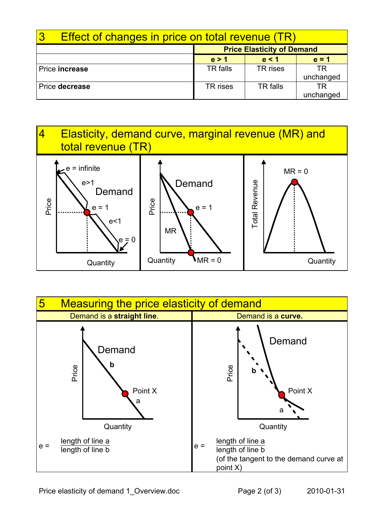| <b>Effect of changes in price on total revenue (TR)</b> |                                   |                 |           |
|---------------------------------------------------------|-----------------------------------|-----------------|-----------|
|                                                         | <b>Price Elasticity of Demand</b> |                 |           |
|                                                         | e > 1                             | e < 1           | $e = 1$   |
| Price increase                                          | TR falls                          | TR rises        | TR        |
|                                                         |                                   |                 | unchanged |
| Price decrease                                          | TR rises                          | <b>TR</b> falls | TR        |
|                                                         |                                   |                 | unchanged |





Price elasticity of demand 1 Overview.doc Page 2 (of 3) 2010-01-31